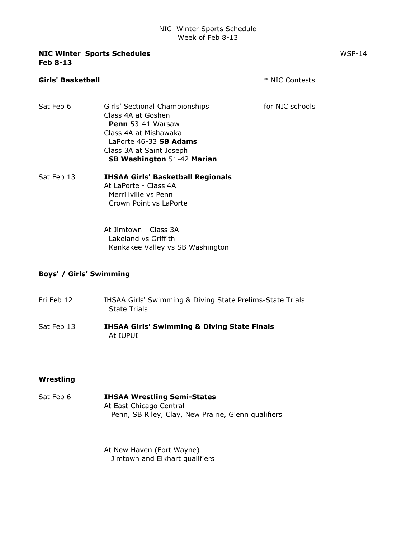### NIC Winter Sports Schedule Week of Feb 8-13

| <b>NIC Winter Sports Schedules</b> | $WSP-14$ |
|------------------------------------|----------|
| <b>Feb 8-13</b>                    |          |

# Girls' Basketball \* NIC Contests Sat Feb 6 Girls' Sectional Championships for NIC schools Class 4A at Goshen Penn 53-41 Warsaw Class 4A at Mishawaka LaPorte 46-33 SB Adams Class 3A at Saint Joseph SB Washington 51-42 Marian Sat Feb 13 **IHSAA Girls' Basketball Regionals** At LaPorte - Class 4A Merrillville vs Penn Crown Point vs LaPorte At Jimtown - Class 3A Lakeland vs Griffith Kankakee Valley vs SB Washington

## Boys' / Girls' Swimming

- Fri Feb 12 **IHSAA Girls' Swimming & Diving State Prelims-State Trials** State Trials
- Sat Feb 13 **IHSAA Girls' Swimming & Diving State Finals** At IUPUI

#### Wrestling

Sat Feb 6 **IHSAA Wrestling Semi-States** At East Chicago Central Penn, SB Riley, Clay, New Prairie, Glenn qualifiers

> At New Haven (Fort Wayne) Jimtown and Elkhart qualifiers